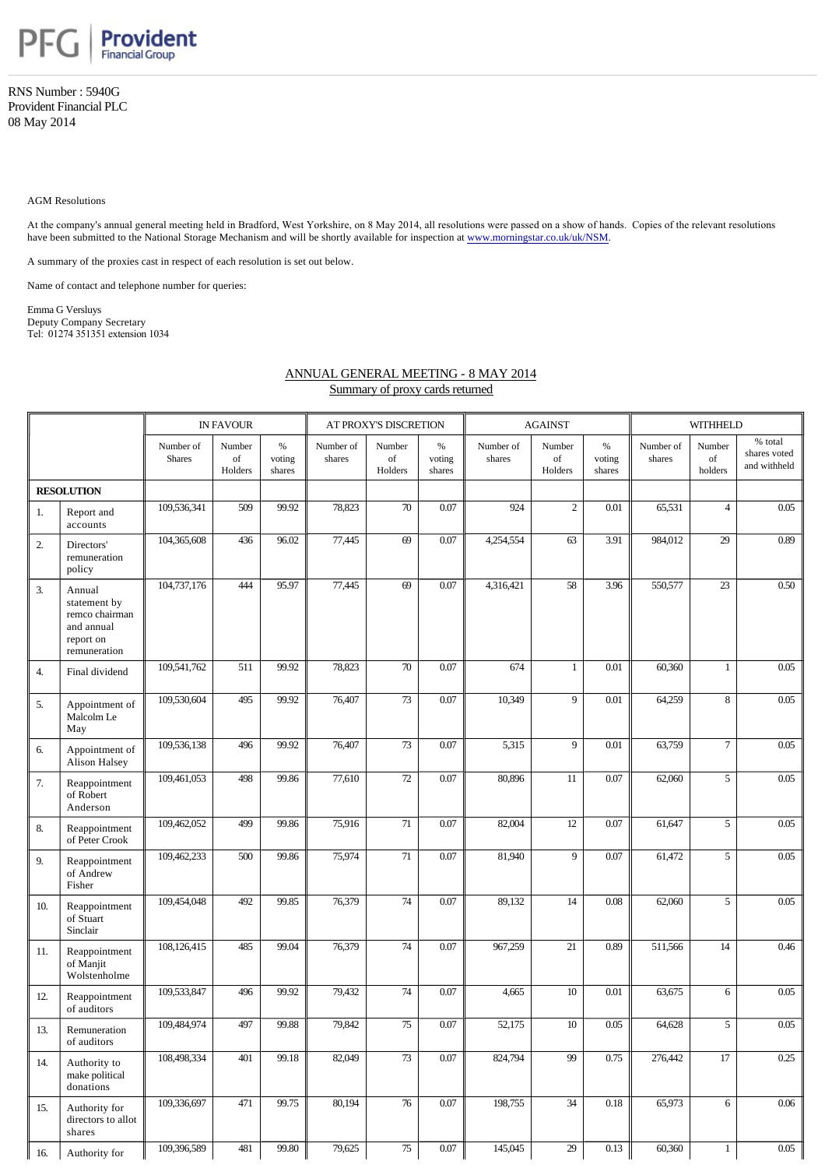

RNS Number : 5940G Provident Financial PLC 08 May 2014

## AGM Resolutions

At the company's annual general meeting held in Bradford, West Yorkshire, on 8 May 2014, all resolutions were passed on a show of hands. Copies of the relevant resolutions have been submitted to the National Storage Mechanism and will be shortly available for inspection at [www.morningstar.co.uk/uk/NSM.](http://www.morningstar.co.uk/uk/NSM)

A summary of the proxies cast in respect of each resolution is set out below.

Name of contact and telephone number for queries:

Emma G Versluys Deputy Company Secretary Tel: 01274 351351 extension 1034

## ANNUAL GENERAL MEETING - 8 MAY 2014

Summary of proxy cards returned

|                   |                                                                                     | <b>IN FAVOUR</b>           |                         |                          | AT PROXY'S DISCRETION |                         |                          |                     | <b>AGAINST</b>                        |                          | WITHHELD            |                         |                                         |
|-------------------|-------------------------------------------------------------------------------------|----------------------------|-------------------------|--------------------------|-----------------------|-------------------------|--------------------------|---------------------|---------------------------------------|--------------------------|---------------------|-------------------------|-----------------------------------------|
|                   |                                                                                     | Number of<br><b>Shares</b> | Number<br>of<br>Holders | $\%$<br>voting<br>shares | Number of<br>shares   | Number<br>of<br>Holders | $\%$<br>voting<br>shares | Number of<br>shares | Number<br>$_{\mathrm{of}}$<br>Holders | $\%$<br>voting<br>shares | Number of<br>shares | Number<br>of<br>holders | % total<br>shares voted<br>and withheld |
| <b>RESOLUTION</b> |                                                                                     |                            |                         |                          |                       |                         |                          |                     |                                       |                          |                     |                         |                                         |
| 1.                | Report and<br>accounts                                                              | 109,536,341                | 509                     | 99.92                    | 78,823                | 70                      | 0.07                     | 924                 | $\overline{c}$                        | 0.01                     | 65,531              | $\overline{4}$          | 0.05                                    |
| $\overline{2}$    | Directors'<br>remuneration<br>policy                                                | 104,365,608                | 436                     | 96.02                    | 77,445                | 69                      | 0.07                     | 4,254,554           | 63                                    | 3.91                     | 984,012             | 29                      | 0.89                                    |
| 3.                | Annual<br>statement by<br>remco chairman<br>and annual<br>report on<br>remuneration | 104,737,176                | 444                     | 95.97                    | 77,445                | 69                      | 0.07                     | 4,316,421           | 58                                    | 3.96                     | 550,577             | 23                      | 0.50                                    |
| $\overline{4}$ .  | Final dividend                                                                      | 109,541,762                | 511                     | 99.92                    | 78,823                | 70                      | 0.07                     | 674                 | $\mathbf{1}$                          | 0.01                     | 60,360              | $\mathbf{1}$            | 0.05                                    |
| 5.                | Appointment of<br>Malcolm Le<br>May                                                 | 109,530,604                | 495                     | 99.92                    | 76,407                | 73                      | 0.07                     | 10,349              | 9                                     | 0.01                     | 64,259              | 8                       | 0.05                                    |
| 6.                | Appointment of<br>Alison Halsey                                                     | 109,536,138                | 496                     | 99.92                    | 76,407                | 73                      | 0.07                     | 5,315               | 9                                     | 0.01                     | 63,759              | $\overline{7}$          | 0.05                                    |
| 7.                | Reappointment<br>of Robert<br>Anderson                                              | 109,461,053                | 498                     | 99.86                    | 77,610                | 72                      | 0.07                     | 80,896              | 11                                    | 0.07                     | 62,060              | 5                       | 0.05                                    |
| 8.                | Reappointment<br>of Peter Crook                                                     | 109,462,052                | 499                     | 99.86                    | 75,916                | 71                      | 0.07                     | 82,004              | 12                                    | 0.07                     | 61,647              | 5                       | 0.05                                    |
| 9.                | Reappointment<br>of Andrew<br>Fisher                                                | 109,462,233                | 500                     | 99.86                    | 75,974                | 71                      | 0.07                     | 81,940              | 9                                     | 0.07                     | 61,472              | 5                       | 0.05                                    |
| 10.               | Reappointment<br>of Stuart<br>Sinclair                                              | 109,454,048                | 492                     | 99.85                    | 76,379                | 74                      | 0.07                     | 89,132              | 14                                    | $0.08\,$                 | 62,060              | 5                       | 0.05                                    |
| 11.               | Reappointment<br>of Manjit<br>Wolstenholme                                          | 108,126,415                | 485                     | 99.04                    | 76,379                | 74                      | 0.07                     | 967,259             | 21                                    | 0.89                     | 511,566             | 14                      | 0.46                                    |
| 12.               | Reappointment<br>of auditors                                                        | 109,533,847                | 496                     | 99.92                    | 79,432                | $\overline{74}$         | 0.07                     | 4,665               | 10                                    | 0.01                     | 63,675              | 6                       | 0.05                                    |
| 13.               | Remuneration<br>of auditors                                                         | 109,484,974                | 497                     | 99.88                    | 79,842                | 75                      | 0.07                     | 52,175              | $10\,$                                | 0.05                     | 64,628              | 5                       | 0.05                                    |
| 14.               | Authority to<br>make political<br>donations                                         | 108,498,334                | 401                     | 99.18                    | 82,049                | $\overline{73}$         | 0.07                     | 824,794             | $\overline{99}$                       | 0.75                     | 276,442             | 17                      | 0.25                                    |
| 15.               | Authority for<br>directors to allot<br>shares                                       | 109,336,697                | 471                     | 99.75                    | 80,194                | 76                      | 0.07                     | 198,755             | $\overline{34}$                       | 0.18                     | 65,973              | 6                       | 0.06                                    |
| 16.               | Authority for                                                                       | 109,396,589                | 481                     | 99.80                    | 79,625                | 75                      | 0.07                     | 145,045             | 29                                    | 0.13                     | 60,360              | $\mathbf{1}$            | 0.05                                    |